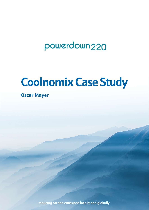## powerdown<sub>220</sub>

# **Coolnomix Case Study**

**Oscar Mayer** 

reducing carbon emissions locally and globally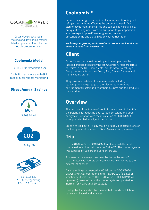

Oscar Mayer specialise in making and developing retailer labelled prepared foods for the top UK grocery retailers

#### Coolnomix Model

1 x AR-01 for refrigeration use + 1 x MID smart meters with GPS capability for remote monitoring

#### Direct Annual Savings







£515.02 p.a. 26.1% energy saving ROI of 12 months

## **Coolnomix®**

Reduce the energy consumption of your air-conditioning and refrigeration without affecting the output you need. Our technology is maintenance free and can be easily installed by our qualified engineers with no disruption to your operation. You can expect up to 40% energy saving on your air-conditioning and up to 30% on your refrigeration.

*We keep your people, equipment and produce cool, and your energy budget from overheating*

## **Client**

Oscar Mayer specialise in making and developing retailer labelled prepared foods for the top UK grocery retailers across four sites in the UK. Their clients include Asda, Sainsbury's, Co-op, Waitrose, Morrisons, Tesco, Aldi, Greggs, Subway and more leading brands.

They have key sustainability requirements including reducing the energy usage of their factories to improve the environmental sustainability of their business and the products they produce.

## **Overview**

The purpose of the trial was 'proof of concept' and to identify the potential for reducing both carbon emissions and direct energy consumption with the installation of COOLNOMIX a unique patented intelligent thermostat.

Emissis carried out a 15-day trial on 'Fridge 21' located in one of the food preparation areas of Oscar Mayer, Chard, Somerset.

## **Trial**

On the 04/03/2020 a COOLNOMIX unit was installed and connected to an internal cooler in Fridge 21. The cooling system was supplied by Coolers and Condensers Ltd.

To measure the energy consumed by the cooler an MID smart meter, with remote connectivity, was connected to the external condenser.

Data recording commenced at 00:02 on the 05/03/2020. COOLNOMIX was operational until 13/03/2020 (8 days) at which time it was turned OFF 13/03/2020. COOLNOMIX was bypassed (turned off) and the cooling systems operated as 'normal' for 7 days until 20/03/2020.

During the 15-day trial, the metered half-hourly and 4-hourly data was collected and analysed.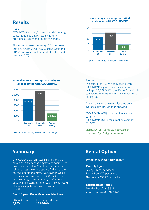## **Results**

#### **Daily**

COOLNOMIX active (ON) reduced daily energy consumption by 26.1%, (see Figure 1), providing a reduction of 8.3kWh per day.

This saving is based on using 200.4kWh over 204 hours with COOLNOMIX active (ON) and 204.2 kWh over 152 hours with COOLNOMIX inactive (OFF).

#### **Daily energy consumption (kWh) and saving with COOLNOMIX**



*Figure 1: Daily energy consumption and saving*

#### **Annual energy consumption (kWh) and annual saving with COOLNOMIX**



*Figure 2: Annual energy consumption and savings*

#### **Annual**

The calculated 8.3kWh daily saving with COOLNOMIX equates to annual energy savings of 3,029.5kWh (see Figure 2) which is equivalent to a carbon emissions reduction of 863kg CO2.

The annual savings were calculated on an average daily consumption showing:

COOLNOMIX (ON) consumption averages 23.5kWh COOLNOMIX (OFF) consumption averages 31.9kWh

*COOLNOMIX will reduce your carbon emissions by 863kg per annum*

One COOLNOMIX unit was installed and the data proved the technology's worth against just one cooler in Fridge 21 at the Chard site. Full rollout across the entire estate's fridges, at the four UK operational sites, COOLNOMIX would reduce carbon emissions by 388.3tn CO2 and reduce energy consumption by 1,363MWh; equating to a cash saving of £231,759 at today's electricity supply price with a payback of 12 months.

#### **Over 10 years Oscar Mayer would achieve:**

CO2 reduction Electricity reduction **3,883tn 13.63GWh** 

## **Summary <b>Rental Option**

#### *Off balance sheet - zero deposit*

#### **Monthly figures:**

Saving £42.92 per device Rental from £12 per device Net benefit £30.92 per device

#### **Rollout across 4 sites:**

Monthly benefit £13,914 Annual net benefit £166,968